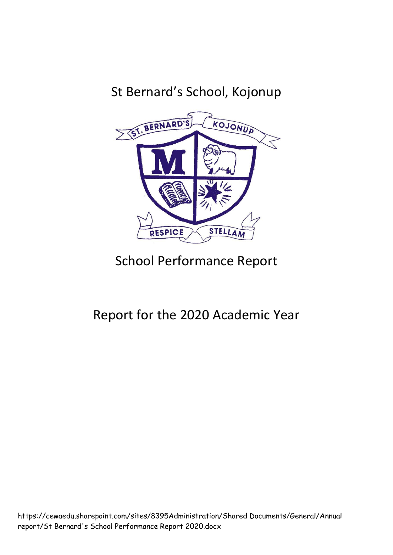# St Bernard's School, Kojonup



# School Performance Report

# Report for the 2020 Academic Year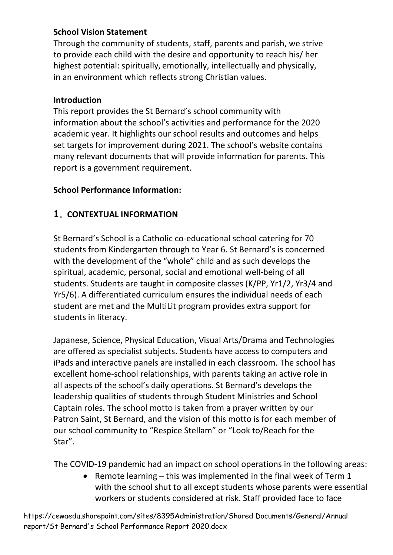## **School Vision Statement**

Through the community of students, staff, parents and parish, we strive to provide each child with the desire and opportunity to reach his/ her highest potential: spiritually, emotionally, intellectually and physically, in an environment which reflects strong Christian values.

## **Introduction**

This report provides the St Bernard's school community with information about the school's activities and performance for the 2020 academic year. It highlights our school results and outcomes and helps set targets for improvement during 2021. The school's website contains many relevant documents that will provide information for parents. This report is a government requirement.

## **School Performance Information:**

## **1. CONTEXTUAL INFORMATION**

St Bernard's School is a Catholic co-educational school catering for 70 students from Kindergarten through to Year 6. St Bernard's is concerned with the development of the "whole" child and as such develops the spiritual, academic, personal, social and emotional well-being of all students. Students are taught in composite classes (K/PP, Yr1/2, Yr3/4 and Yr5/6). A differentiated curriculum ensures the individual needs of each student are met and the MultiLit program provides extra support for students in literacy.

Japanese, Science, Physical Education, Visual Arts/Drama and Technologies are offered as specialist subjects. Students have access to computers and iPads and interactive panels are installed in each classroom. The school has excellent home-school relationships, with parents taking an active role in all aspects of the school's daily operations. St Bernard's develops the leadership qualities of students through Student Ministries and School Captain roles. The school motto is taken from a prayer written by our Patron Saint, St Bernard, and the vision of this motto is for each member of our school community to "Respice Stellam" or "Look to/Reach for the Star".

The COVID-19 pandemic had an impact on school operations in the following areas:

• Remote learning – this was implemented in the final week of Term 1 with the school shut to all except students whose parents were essential workers or students considered at risk. Staff provided face to face

https://cewaedu.sharepoint.com/sites/8395Administration/Shared Documents/General/Annual report/St Bernard's School Performance Report 2020.docx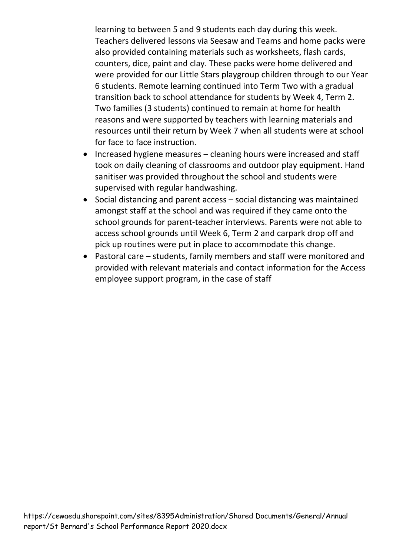learning to between 5 and 9 students each day during this week. Teachers delivered lessons via Seesaw and Teams and home packs were also provided containing materials such as worksheets, flash cards, counters, dice, paint and clay. These packs were home delivered and were provided for our Little Stars playgroup children through to our Year 6 students. Remote learning continued into Term Two with a gradual transition back to school attendance for students by Week 4, Term 2. Two families (3 students) continued to remain at home for health reasons and were supported by teachers with learning materials and resources until their return by Week 7 when all students were at school for face to face instruction.

- Increased hygiene measures cleaning hours were increased and staff took on daily cleaning of classrooms and outdoor play equipment. Hand sanitiser was provided throughout the school and students were supervised with regular handwashing.
- Social distancing and parent access social distancing was maintained amongst staff at the school and was required if they came onto the school grounds for parent-teacher interviews. Parents were not able to access school grounds until Week 6, Term 2 and carpark drop off and pick up routines were put in place to accommodate this change.
- Pastoral care students, family members and staff were monitored and provided with relevant materials and contact information for the Access employee support program, in the case of staff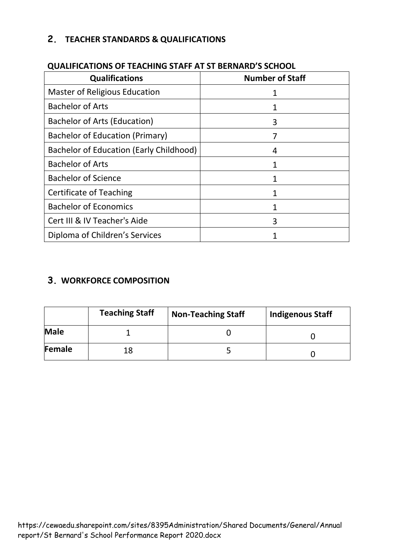# **2. TEACHER STANDARDS & QUALIFICATIONS**

| <b>Qualifications</b>                   | <b>Number of Staff</b> |
|-----------------------------------------|------------------------|
| <b>Master of Religious Education</b>    |                        |
| <b>Bachelor of Arts</b>                 |                        |
| <b>Bachelor of Arts (Education)</b>     | 3                      |
| Bachelor of Education (Primary)         |                        |
| Bachelor of Education (Early Childhood) | 4                      |
| <b>Bachelor of Arts</b>                 |                        |
| <b>Bachelor of Science</b>              |                        |
| <b>Certificate of Teaching</b>          | 1                      |
| <b>Bachelor of Economics</b>            | 1                      |
| Cert III & IV Teacher's Aide            | 3                      |
| Diploma of Children's Services          |                        |

## **QUALIFICATIONS OF TEACHING STAFF AT ST BERNARD'S SCHOOL**

# **3. WORKFORCE COMPOSITION**

|             | <b>Teaching Staff</b> | <b>Non-Teaching Staff</b> | <b>Indigenous Staff</b> |
|-------------|-----------------------|---------------------------|-------------------------|
| <b>Male</b> |                       |                           |                         |
| Female      | 18                    |                           |                         |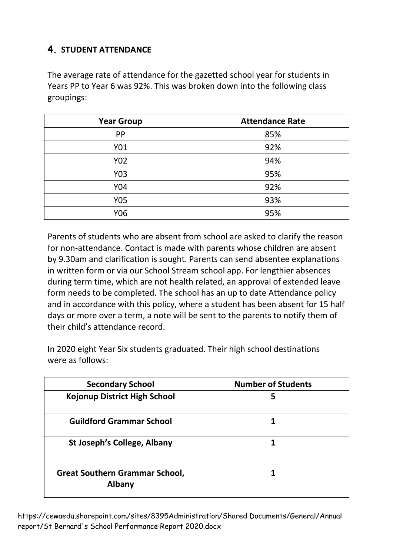# **4. STUDENT ATTENDANCE**

The average rate of attendance for the gazetted school year for students in Years PP to Year 6 was 92%. This was broken down into the following class groupings:

| <b>Year Group</b> | <b>Attendance Rate</b> |
|-------------------|------------------------|
| <b>PP</b>         | 85%                    |
| Y01               | 92%                    |
| Y02               | 94%                    |
| Y03               | 95%                    |
| Y04               | 92%                    |
| Y05               | 93%                    |
| Y06               | 95%                    |

Parents of students who are absent from school are asked to clarify the reason for non-attendance. Contact is made with parents whose children are absent by 9.30am and clarification is sought. Parents can send absentee explanations in written form or via our School Stream school app. For lengthier absences during term time, which are not health related, an approval of extended leave form needs to be completed. The school has an up to date Attendance policy and in accordance with this policy, where a student has been absent for 15 half days or more over a term, a note will be sent to the parents to notify them of their child's attendance record.

In 2020 eight Year Six students graduated. Their high school destinations were as follows:

| <b>Secondary School</b>                         | <b>Number of Students</b> |
|-------------------------------------------------|---------------------------|
| <b>Kojonup District High School</b>             | 5                         |
| <b>Guildford Grammar School</b>                 |                           |
| St Joseph's College, Albany                     |                           |
| <b>Great Southern Grammar School,</b><br>Albany |                           |

https://cewaedu.sharepoint.com/sites/8395Administration/Shared Documents/General/Annual report/St Bernard's School Performance Report 2020.docx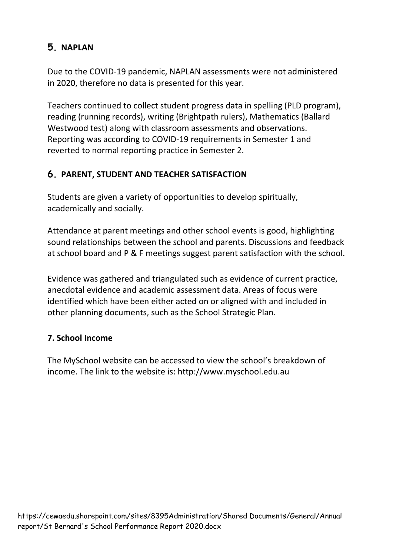# **5. NAPLAN**

Due to the COVID-19 pandemic, NAPLAN assessments were not administered in 2020, therefore no data is presented for this year.

Teachers continued to collect student progress data in spelling (PLD program), reading (running records), writing (Brightpath rulers), Mathematics (Ballard Westwood test) along with classroom assessments and observations. Reporting was according to COVID-19 requirements in Semester 1 and reverted to normal reporting practice in Semester 2.

# **6. PARENT, STUDENT AND TEACHER SATISFACTION**

Students are given a variety of opportunities to develop spiritually, academically and socially.

Attendance at parent meetings and other school events is good, highlighting sound relationships between the school and parents. Discussions and feedback at school board and P & F meetings suggest parent satisfaction with the school.

Evidence was gathered and triangulated such as evidence of current practice, anecdotal evidence and academic assessment data. Areas of focus were identified which have been either acted on or aligned with and included in other planning documents, such as the School Strategic Plan.

## **7. School Income**

The MySchool website can be accessed to view the school's breakdown of income. The link to the website is: http://www.myschool.edu.au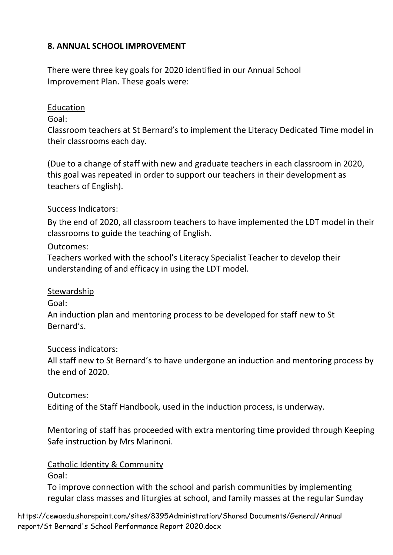## **8. ANNUAL SCHOOL IMPROVEMENT**

There were three key goals for 2020 identified in our Annual School Improvement Plan. These goals were:

#### **Education**

Goal:

Classroom teachers at St Bernard's to implement the Literacy Dedicated Time model in their classrooms each day.

(Due to a change of staff with new and graduate teachers in each classroom in 2020, this goal was repeated in order to support our teachers in their development as teachers of English).

Success Indicators:

By the end of 2020, all classroom teachers to have implemented the LDT model in their classrooms to guide the teaching of English.

### Outcomes:

Teachers worked with the school's Literacy Specialist Teacher to develop their understanding of and efficacy in using the LDT model.

### Stewardship

Goal:

An induction plan and mentoring process to be developed for staff new to St Bernard's.

Success indicators:

All staff new to St Bernard's to have undergone an induction and mentoring process by the end of 2020.

### Outcomes:

Editing of the Staff Handbook, used in the induction process, is underway.

Mentoring of staff has proceeded with extra mentoring time provided through Keeping Safe instruction by Mrs Marinoni.

#### Catholic Identity & Community

Goal:

To improve connection with the school and parish communities by implementing regular class masses and liturgies at school, and family masses at the regular Sunday

https://cewaedu.sharepoint.com/sites/8395Administration/Shared Documents/General/Annual report/St Bernard's School Performance Report 2020.docx